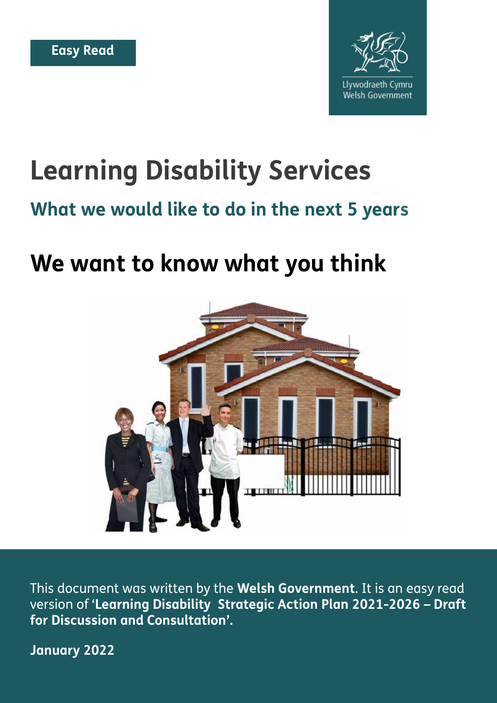

# **Learning Disability Services**

#### **What we would like to do in the next 5 years**

# **We want to know what you think**



This document was written by the **Welsh Government**. It is an easy read version of '**Learning Disability Strategic Action Plan 2021-2026 – Draft for Discussion and Consultation'.** 

**January 2022**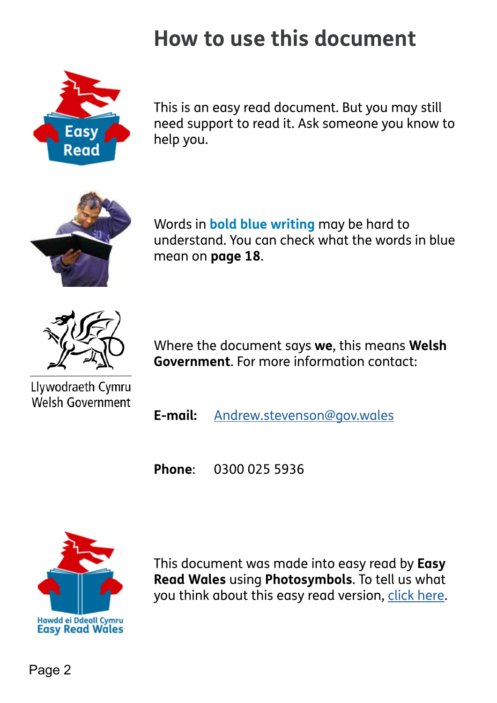# **How to use this document**



This is an easy read document. But you may still need support to read it. Ask someone you know to help you.



Words in **bold blue writing** may be hard to understand. You can check what the words in blue mean on **page 18**.



Where the document says **we**, this means **Welsh Government**. For more information contact:

Llywodraeth Cymru Welsh Government

**E-mail:** [Andrew.stevenson@gov.wales](mailto:Andrew.stevenson%40gov.wales?subject=)

**Phone**: 0300 025 5936



This document was made into easy read by **Easy Read Wales** using **Photosymbols**. To tell us what you think about this easy read version, [click here](https://forms.office.com/Pages/ResponsePage.aspx?id=aZ9W9jTWYEixHoHk1luPyZw1J1OAxGpFrRmNL9CCXxRUNzZQM1ZQUENKWFNURlVaWEE3VzM4UUhJSi4u).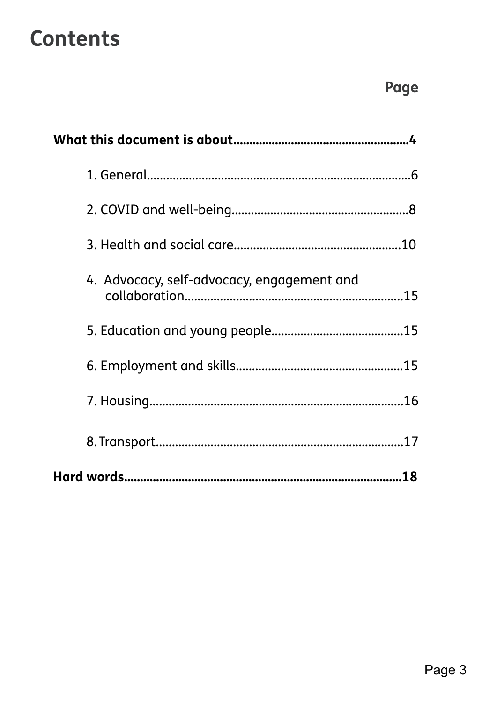# **Contents**

| 4. Advocacy, self-advocacy, engagement and |
|--------------------------------------------|
|                                            |
|                                            |
|                                            |
|                                            |
|                                            |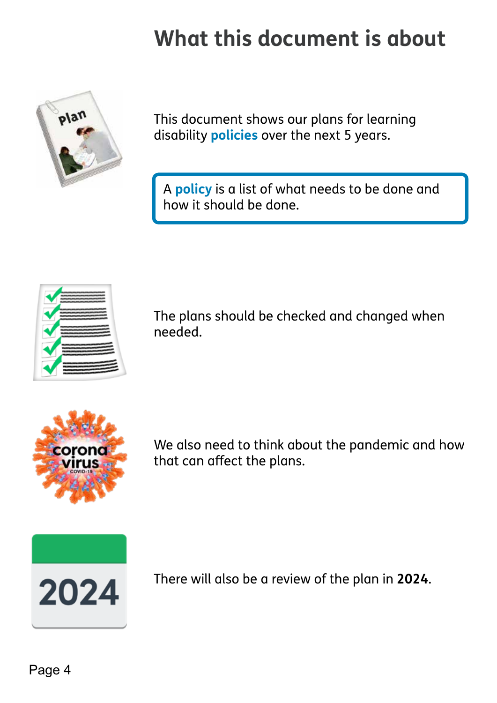# **What this document is about**

<span id="page-3-0"></span>

This document shows our plans for learning disability **policies** over the next 5 years.

A **policy** is a list of what needs to be done and how it should be done.



The plans should be checked and changed when needed.



We also need to think about the pandemic and how that can afect the plans.



There will also be a review of the plan in **2024**.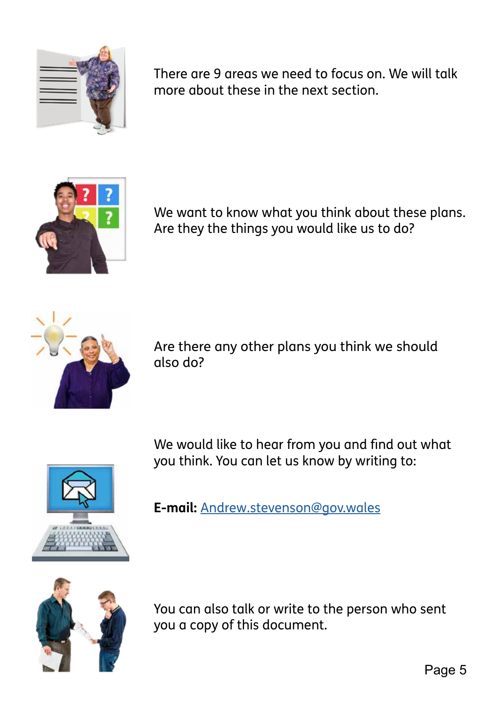

There are 9 areas we need to focus on. We will talk more about these in the next section.



We want to know what you think about these plans. Are they the things you would like us to do?



Are there any other plans you think we should also do?

We would like to hear from you and find out what you think. You can let us know by writing to:



**E-mail:** [Andrew.stevenson@gov.wales](mailto:Andrew.stevenson@gov.wales)



You can also talk or write to the person who sent you a copy of this document.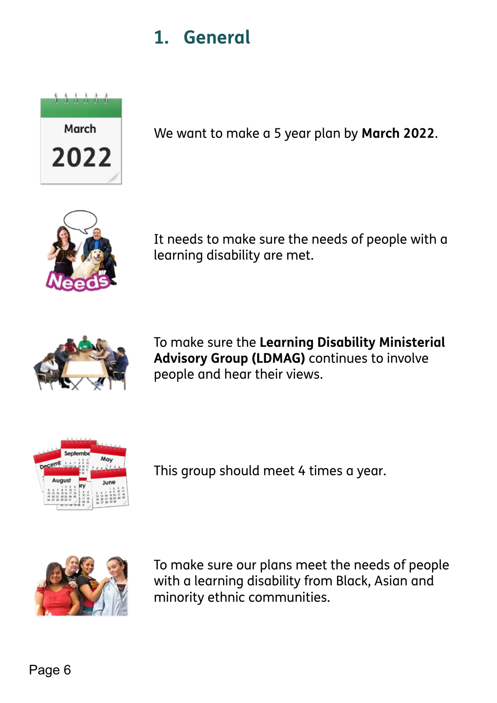### **1. General**

<span id="page-5-0"></span>

We want to make a 5 year plan by **March 2022**.



It needs to make sure the needs of people with a learning disability are met.



To make sure the **Learning Disability Ministerial Advisory Group (LDMAG)** continues to involve people and hear their views.



This group should meet 4 times a year.



To make sure our plans meet the needs of people with a learning disability from Black, Asian and minority ethnic communities.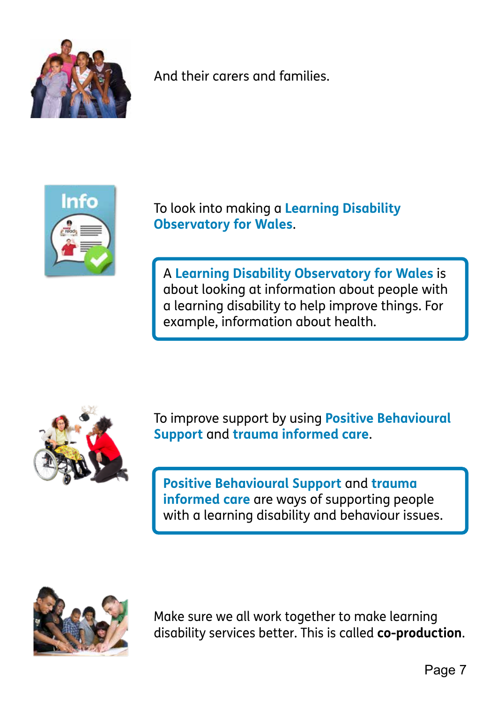

And their carers and families.



To look into making a **Learning Disability Observatory for Wales**.

A **Learning Disability Observatory for Wales** is about looking at information about people with a learning disability to help improve things. For example, information about health.



To improve support by using **Positive Behavioural Support** and **trauma informed care**.

**Positive Behavioural Support** and **trauma informed care** are ways of supporting people with a learning disability and behaviour issues.



Make sure we all work together to make learning disability services better. This is called **co-production**.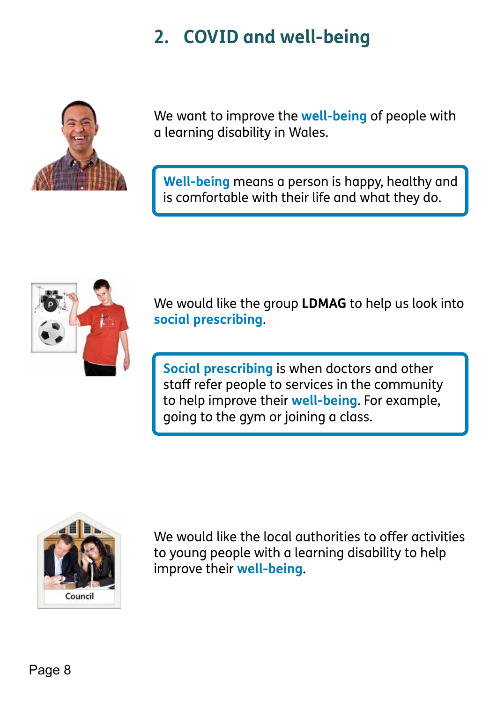### **2. COVID and well-being**

<span id="page-7-0"></span>

We want to improve the **well-being** of people with a learning disability in Wales.

**Well-being** means a person is happy, healthy and is comfortable with their life and what they do.



We would like the group **LDMAG** to help us look into **social prescribing**.

**Social prescribing** is when doctors and other staff refer people to services in the community to help improve their **well-being**. For example, going to the gym or joining a class.



We would like the local authorities to offer activities to young people with a learning disability to help improve their **well-being**.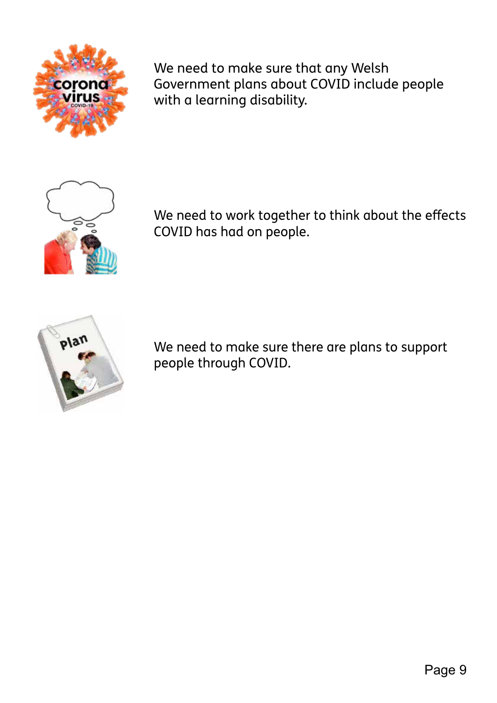

We need to make sure that any Welsh Government plans about COVID include people with a learning disability.



We need to work together to think about the effects COVID has had on people.



We need to make sure there are plans to support people through COVID.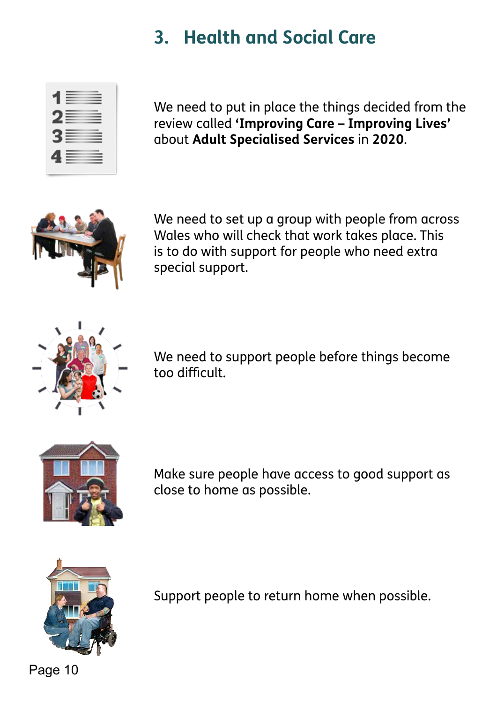### **3. Health and Social Care**

<span id="page-9-0"></span>

| 1≣ ≣                 |  |
|----------------------|--|
| 2≣   ≣               |  |
| $3 \equiv \; \equiv$ |  |
| 4 - 2                |  |

We need to put in place the things decided from the review called **'Improving Care – Improving Lives'**  about **Adult Specialised Services** in **2020**.



We need to set up a group with people from across Wales who will check that work takes place. This is to do with support for people who need extra special support.



We need to support people before things become too difficult.



Make sure people have access to good support as close to home as possible.



Support people to return home when possible.

Page 10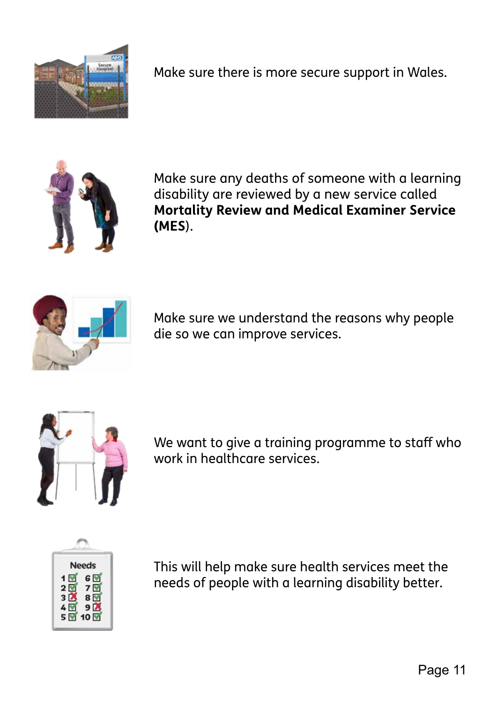

Make sure there is more secure support in Wales.



Make sure any deaths of someone with a learning disability are reviewed by a new service called **Mortality Review and Medical Examiner Service (MES**).



Make sure we understand the reasons why people die so we can improve services.



We want to give a training programme to staff who work in healthcare services.



This will help make sure health services meet the needs of people with a learning disability better.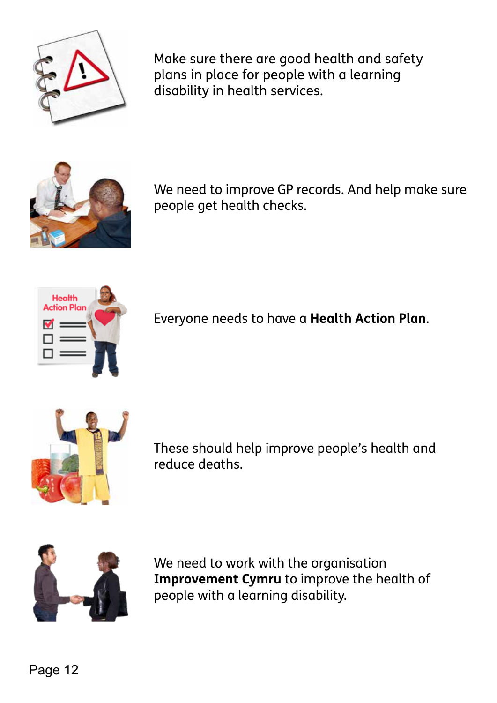

Make sure there are good health and safety plans in place for people with a learning disability in health services.



We need to improve GP records. And help make sure people get health checks.



Everyone needs to have a **Health Action Plan**.



These should help improve people's health and reduce deaths.



We need to work with the organisation **Improvement Cymru** to improve the health of people with a learning disability.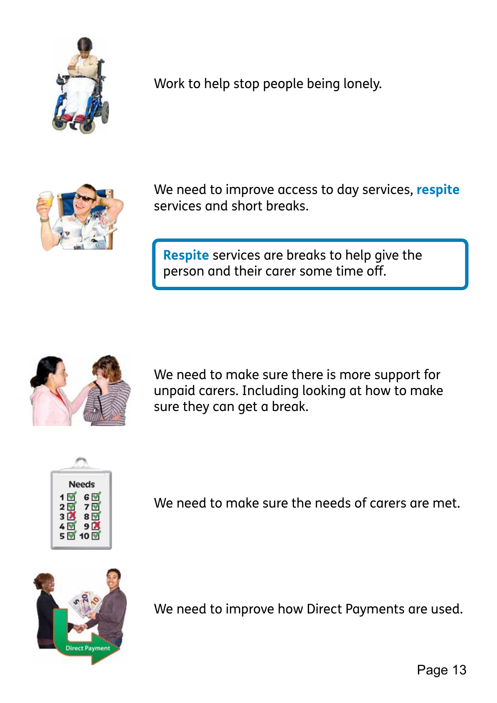

Work to help stop people being lonely.



We need to improve access to day services, **respite**  services and short breaks.

**Respite** services are breaks to help give the person and their carer some time of.



We need to make sure there is more support for unpaid carers. Including looking at how to make sure they can get a break.



We need to make sure the needs of carers are met.



We need to improve how Direct Payments are used.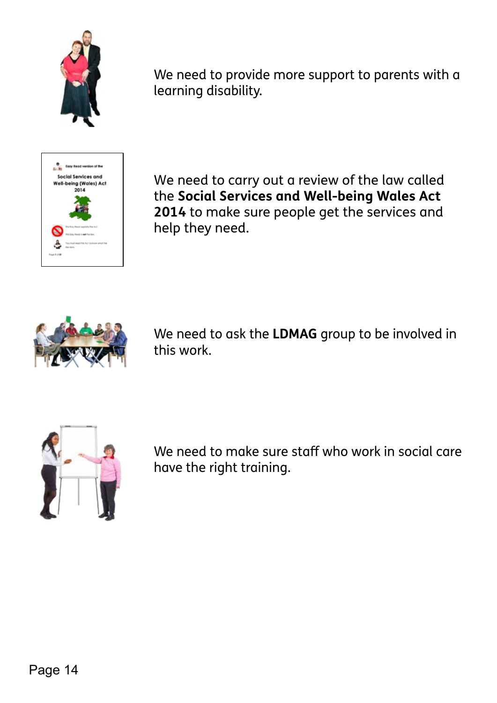

We need to provide more support to parents with a learning disability.



We need to carry out a review of the law called the **Social Services and Well-being Wales Act 2014** to make sure people get the services and help they need.



We need to ask the **LDMAG** group to be involved in this work.



We need to make sure staff who work in social care have the right training.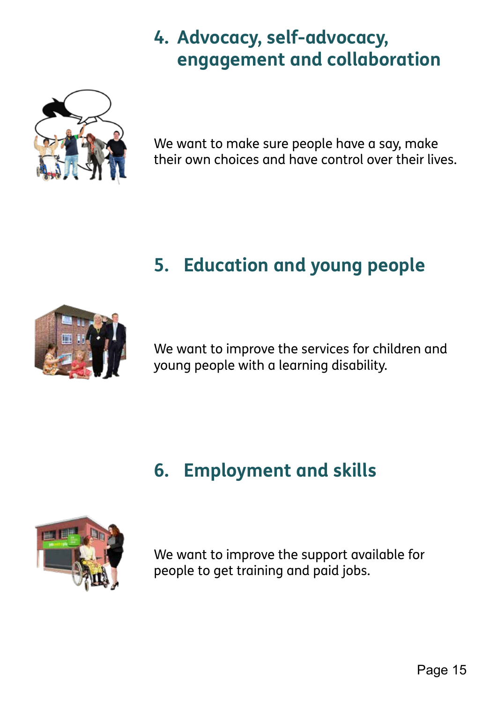### **4. Advocacy, self-advocacy, engagement and collaboration**

<span id="page-14-0"></span>

We want to make sure people have a say, make their own choices and have control over their lives.

## **5. Education and young people**



We want to improve the services for children and young people with a learning disability.

### **6. Employment and skills**



We want to improve the support available for people to get training and paid jobs.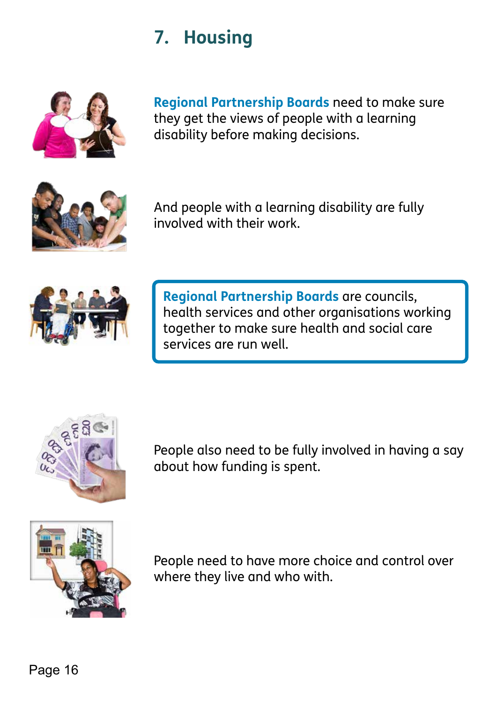### **7. Housing**

<span id="page-15-0"></span>

**Regional Partnership Boards** need to make sure they get the views of people with a learning disability before making decisions.



And people with a learning disability are fully involved with their work.



**Regional Partnership Boards** are councils, health services and other organisations working together to make sure health and social care services are run well.



People also need to be fully involved in having a say about how funding is spent.



People need to have more choice and control over where they live and who with.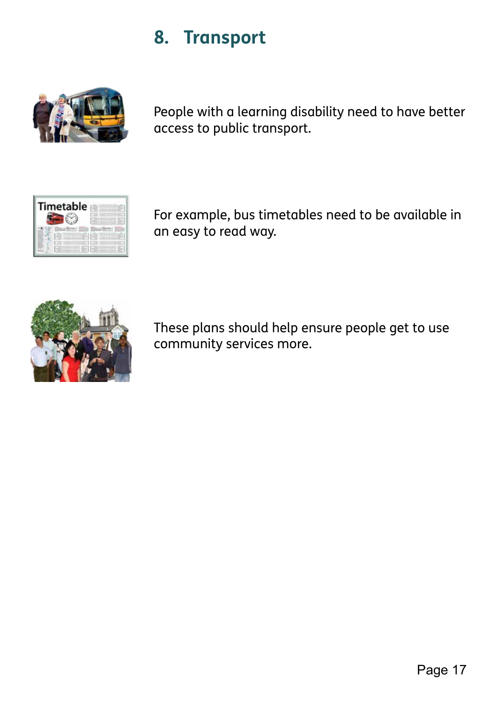### **8. Transport**

<span id="page-16-0"></span>

People with a learning disability need to have better access to public transport.



For example, bus timetables need to be available in an easy to read way.



These plans should help ensure people get to use community services more.